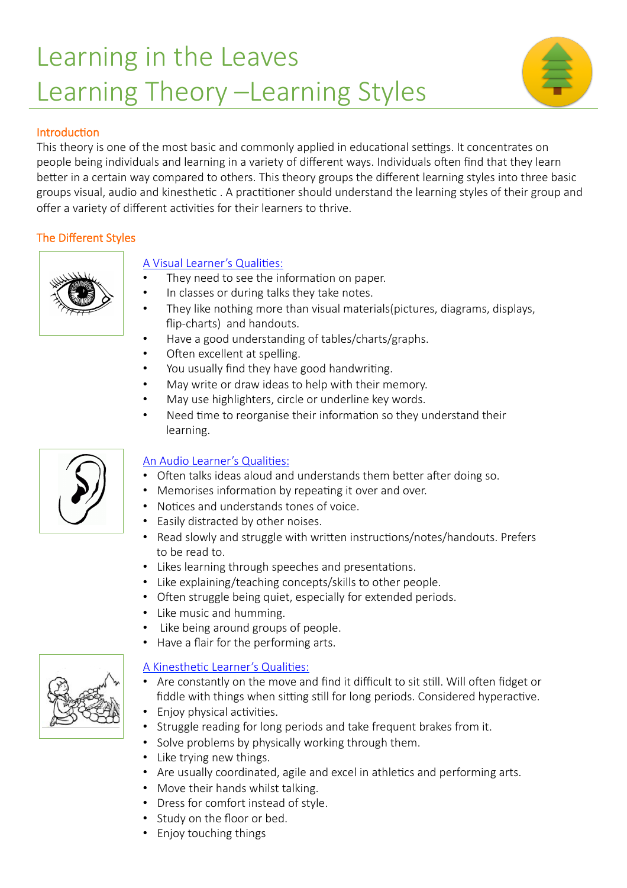# Learning in the Leaves Learning Theory –Learning Styles



#### Introduction

This theory is one of the most basic and commonly applied in educational settings. It concentrates on people being individuals and learning in a variety of different ways. Individuals often find that they learn better in a certain way compared to others. This theory groups the different learning styles into three basic groups visual, audio and kinesthetic . A practitioner should understand the learning styles of their group and offer a variety of different activities for their learners to thrive.

#### The Different Styles



#### A Visual Learner's Qualities:

- They need to see the information on paper.
- In classes or during talks they take notes.
- They like nothing more than visual materials(pictures, diagrams, displays, flip-charts) and handouts.
- Have a good understanding of tables/charts/graphs.
- Often excellent at spelling.
- You usually find they have good handwriting.
- May write or draw ideas to help with their memory.
- May use highlighters, circle or underline key words.
- Need time to reorganise their information so they understand their learning.



#### An Audio Learner's Qualities:

- Often talks ideas aloud and understands them better after doing so.
- Memorises information by repeating it over and over.
- Notices and understands tones of voice.
- Easily distracted by other noises.
- Read slowly and struggle with written instructions/notes/handouts. Prefers to be read to.
- Likes learning through speeches and presentations.
- Like explaining/teaching concepts/skills to other people.
- Often struggle being quiet, especially for extended periods.
- Like music and humming.
- Like being around groups of people.
- Have a flair for the performing arts.

#### A Kinesthetic Learner's Qualities:

- Are constantly on the move and find it difficult to sit still. Will often fidget or fiddle with things when sitting still for long periods. Considered hyperactive.
- Enjoy physical activities.
- Struggle reading for long periods and take frequent brakes from it.
- Solve problems by physically working through them.
- Like trying new things.
- Are usually coordinated, agile and excel in athletics and performing arts.
- Move their hands whilst talking.
- Dress for comfort instead of style.
- Study on the floor or bed.
- Enjoy touching things